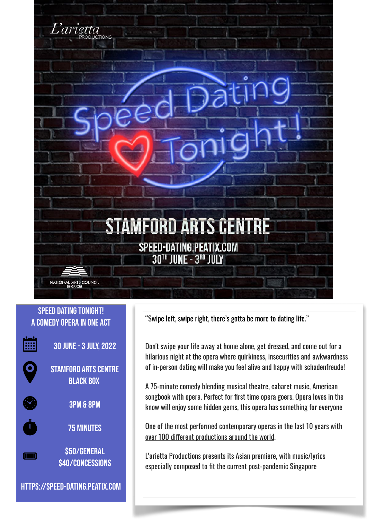

#### Speed Dating Tonight! A Comedy Opera in one act



 $\bullet$ 

 $\dot{\mathbf{t}}$ 

30 June - 3 July, 2022









https://speed-dating.peatix.com

"Swipe left, swipe right, there's gotta be more to dating life."

Don't swipe your life away at home alone, get dressed, and come out for a hilarious night at the opera where quirkiness, insecurities and awkwardness of in-person dating will make you feel alive and happy with schadenfreude!

A 75-minute comedy blending musical theatre, cabaret music, American songbook with opera. Perfect for first time opera goers. Opera loves in the know will enjoy some hidden gems, this opera has something for everyone

One of the most performed contemporary operas in the last 10 years with over 100 diferent productions around the world.

L'arietta Productions presents its Asian premiere, with music/lyrics especially composed to fit the current post-pandemic Singapore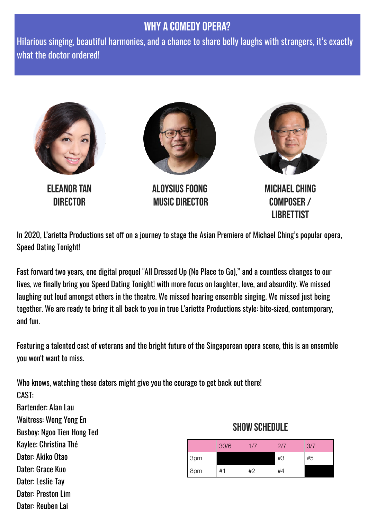# WHY A COMEDY OPERA?

Hilarious singing, beautiful harmonies, and a chance to share belly laughs with strangers, it's exactly what the doctor ordered!



In 2020, L'arietta Productions set off on a journey to stage the Asian Premiere of Michael Ching's popular opera, Speed Dating Tonight!

Fast forward two years, one digital prequel ["All Dressed Up \(No Place to Go\),"](https://www.instagram.com/lariettasg/?hl=en) and a countless changes to our lives, we finally bring you Speed Dating Tonight! with more focus on laughter, love, and absurdity. We missed laughing out loud amongst others in the theatre. We missed hearing ensemble singing. We missed just being together. We are ready to bring it all back to you in true L'arietta Productions style: bite-sized, contemporary, and fun.

Featuring a talented cast of veterans and the bright future of the Singaporean opera scene, this is an ensemble you won't want to miss.

Who knows, watching these daters might give you the courage to get back out there! CAST:

Bartender: Alan Lau Waitress: Wong Yong En Busboy: Ngoo Tien Hong Ted Kaylee: Christina Thé Dater: Akiko Otao Dater: Grace Kuo Dater: Leslie Tay Dater: Preston Lim Dater: Reuben Lai

### SHOW SCHEDUI F

Librettist

|     | 30/6 | 1/7 | 2/7 | 3/7 |
|-----|------|-----|-----|-----|
| 3pm |      |     | #3  | #5  |
| 8pm | #1   | #2  | #4  |     |